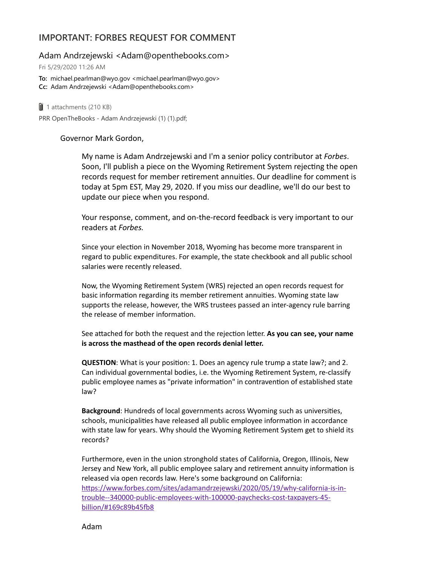## **IMPORTANT: FORBES REQUEST FOR COMMENT**

Adam Andrzejewski <Adam@openthebooks.com>

Fri 5/29/2020 11:26 AM

**To:** michael.pearlman@wyo.gov <michael.pearlman@wyo.gov> **Cc:** Adam Andrzejewski <Adam@openthebooks.com>

 $\parallel$  1 attachments (210 KB) PRR OpenTheBooks - Adam Andrzejewski (1) (1).pdf;

## Governor Mark Gordon,

My name is Adam Andrzejewski and I'm a senior policy contributor at *Forbes*. Soon, I'll publish a piece on the Wyoming Retirement System rejecting the open records request for member retirement annuities. Our deadline for comment is today at 5pm EST, May 29, 2020. If you miss our deadline, we'll do our best to update our piece when you respond.

Your response, comment, and on-the-record feedback is very important to our readers at *Forbes.*

Since your election in November 2018, Wyoming has become more transparent in regard to public expenditures. For example, the state checkbook and all public school salaries were recently released.

Now, the Wyoming Retirement System (WRS) rejected an open records request for basic information regarding its member retirement annuities. Wyoming state law supports the release, however, the WRS trustees passed an inter-agency rule barring the release of member information.

See attached for both the request and the rejection letter. As you can see, your name **is** across the masthead of the open records denial letter.

**QUESTION:** What is your position: 1. Does an agency rule trump a state law?; and 2. Can individual governmental bodies, i.e. the Wyoming Retirement System, re-classify public employee names as "private information" in contravention of established state law?

**Background**: Hundreds of local governments across Wyoming such as universities, schools, municipalities have released all public employee information in accordance with state law for years. Why should the Wyoming Retirement System get to shield its records?

Furthermore, even in the union stronghold states of California, Oregon, Illinois, New Jersey and New York, all public employee salary and retirement annuity information is released via open records law. Here's some background on California: https://www.forbes.com/sites/adamandrzejewski/2020/05/19/why-california-is-introuble--340000-public-employees-with-100000-paychecks-cost-taxpayers-45 billion/#169c89b45fb8

Adam